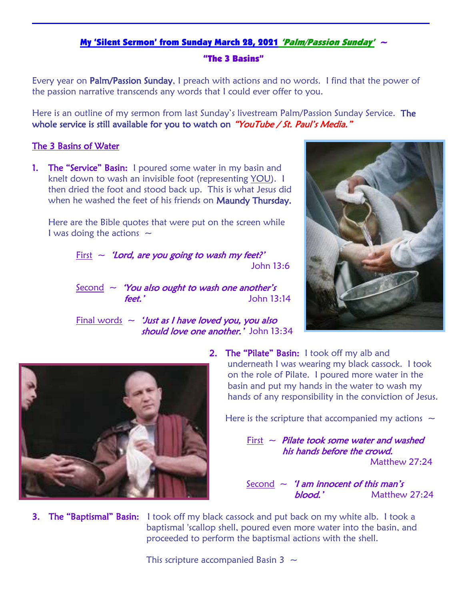## My 'Silent Sermon' from Sunday March 28, 2021 'Palm/Passion Sunday'  $\sim$

## "The 3 Basins"

Every year on Palm/Passion Sunday, I preach with actions and no words. I find that the power of the passion narrative transcends any words that I could ever offer to you.

Here is an outline of my sermon from last Sunday's livestream Palm/Passion Sunday Service. The whole service is still available for you to watch on "YouTube / St. Paul's Media."

## The 3 Basins of Water

**1.** The "Service" Basin: I poured some water in my basin and knelt down to wash an invisible foot (representing YOU). I then dried the foot and stood back up. This is what Jesus did when he washed the feet of his friends on Maundy Thursday.

Here are the Bible quotes that were put on the screen while I was doing the actions  $\sim$ 

> First  $\sim$  'Lord, are you going to wash my feet?' John 13:6

> $Second \sim$  'You also ought to wash one another's feet.' John 13:14

Final words  $\sim$  *'Just as I have loved you, you also* should love one another.' John 13:34





**2.** The "Pilate" Basin: I took off my alb and underneath I was wearing my black cassock. I took on the role of Pilate. I poured more water in the basin and put my hands in the water to wash my hands of any responsibility in the conviction of Jesus.

Here is the scripture that accompanied my actions  $\sim$ 

First  $\sim$  Pilate took some water and washed his hands before the crowd.

Matthew 27:24

Second  $\sim$  '*I* am innocent of this man's blood.' Matthew 27:24

**3. The "Baptismal" Basin:** I took off my black cassock and put back on my white alb. I took a baptismal 'scallop shell, poured even more water into the basin, and proceeded to perform the baptismal actions with the shell.

This scripture accompanied Basin 3  $\sim$